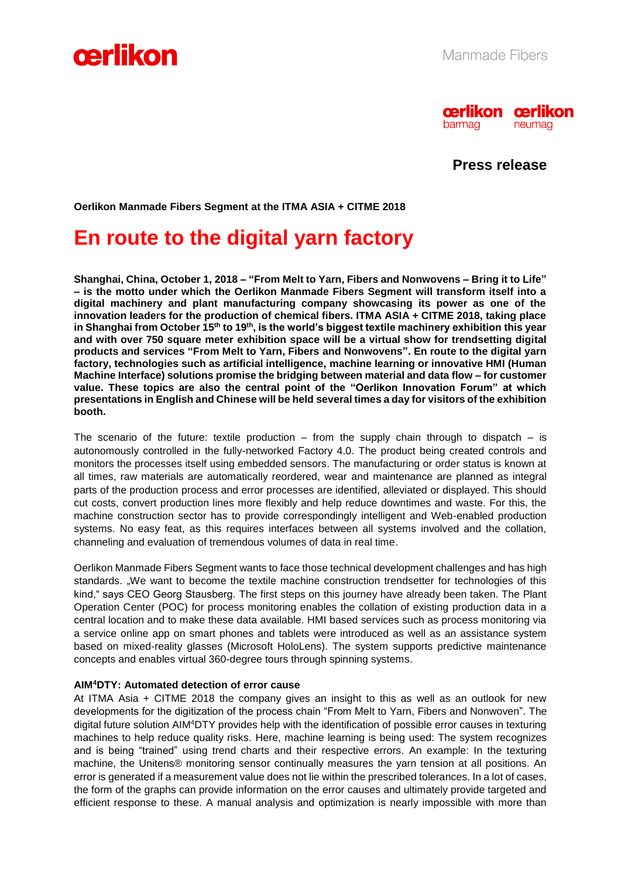



# **Press release**

**Oerlikon Manmade Fibers Segment at the ITMA ASIA + CITME 2018**

# **En route to the digital yarn factory**

**Shanghai, China, October 1, 2018 – "From Melt to Yarn, Fibers and Nonwovens – Bring it to Life" – is the motto under which the Oerlikon Manmade Fibers Segment will transform itself into a digital machinery and plant manufacturing company showcasing its power as one of the innovation leaders for the production of chemical fibers. ITMA ASIA + CITME 2018, taking place in Shanghai from October 15th to 19th , is the world's biggest textile machinery exhibition this year and with over 750 square meter exhibition space will be a virtual show for trendsetting digital products and services "From Melt to Yarn, Fibers and Nonwovens". En route to the digital yarn factory, technologies such as artificial intelligence, machine learning or innovative HMI (Human Machine Interface) solutions promise the bridging between material and data flow – for customer value. These topics are also the central point of the "Oerlikon Innovation Forum" at which presentations in English and Chinese will be held several times a day for visitors of the exhibition booth.**

The scenario of the future: textile production – from the supply chain through to dispatch – is autonomously controlled in the fully-networked Factory 4.0. The product being created controls and monitors the processes itself using embedded sensors. The manufacturing or order status is known at all times, raw materials are automatically reordered, wear and maintenance are planned as integral parts of the production process and error processes are identified, alleviated or displayed. This should cut costs, convert production lines more flexibly and help reduce downtimes and waste. For this, the machine construction sector has to provide correspondingly intelligent and Web-enabled production systems. No easy feat, as this requires interfaces between all systems involved and the collation, channeling and evaluation of tremendous volumes of data in real time.

Oerlikon Manmade Fibers Segment wants to face those technical development challenges and has high standards. "We want to become the textile machine construction trendsetter for technologies of this kind," says CEO Georg Stausberg. The first steps on this journey have already been taken. The Plant Operation Center (POC) for process monitoring enables the collation of existing production data in a central location and to make these data available. HMI based services such as process monitoring via a service online app on smart phones and tablets were introduced as well as an assistance system based on mixed-reality glasses (Microsoft HoloLens). The system supports predictive maintenance concepts and enables virtual 360-degree tours through spinning systems.

#### **AIM<sup>4</sup>DTY: Automated detection of error cause**

At ITMA Asia + CITME 2018 the company gives an insight to this as well as an outlook for new developments for the digitization of the process chain "From Melt to Yarn, Fibers and Nonwoven". The digital future solution AIM<sup>4</sup>DTY provides help with the identification of possible error causes in texturing machines to help reduce quality risks. Here, machine learning is being used: The system recognizes and is being "trained" using trend charts and their respective errors. An example: In the texturing machine, the Unitens® monitoring sensor continually measures the yarn tension at all positions. An error is generated if a measurement value does not lie within the prescribed tolerances. In a lot of cases, the form of the graphs can provide information on the error causes and ultimately provide targeted and efficient response to these. A manual analysis and optimization is nearly impossible with more than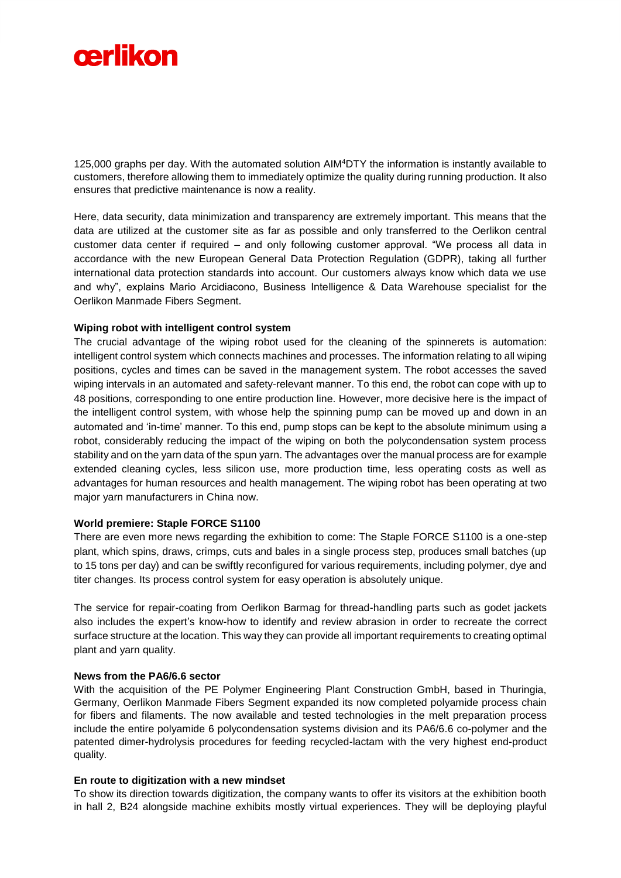

125,000 graphs per day. With the automated solution AIM<sup>4</sup>DTY the information is instantly available to customers, therefore allowing them to immediately optimize the quality during running production. It also ensures that predictive maintenance is now a reality.

Here, data security, data minimization and transparency are extremely important. This means that the data are utilized at the customer site as far as possible and only transferred to the Oerlikon central customer data center if required – and only following customer approval. "We process all data in accordance with the new European General Data Protection Regulation (GDPR), taking all further international data protection standards into account. Our customers always know which data we use and why", explains Mario Arcidiacono, Business Intelligence & Data Warehouse specialist for the Oerlikon Manmade Fibers Segment.

### **Wiping robot with intelligent control system**

The crucial advantage of the wiping robot used for the cleaning of the spinnerets is automation: intelligent control system which connects machines and processes. The information relating to all wiping positions, cycles and times can be saved in the management system. The robot accesses the saved wiping intervals in an automated and safety-relevant manner. To this end, the robot can cope with up to 48 positions, corresponding to one entire production line. However, more decisive here is the impact of the intelligent control system, with whose help the spinning pump can be moved up and down in an automated and 'in-time' manner. To this end, pump stops can be kept to the absolute minimum using a robot, considerably reducing the impact of the wiping on both the polycondensation system process stability and on the yarn data of the spun yarn. The advantages over the manual process are for example extended cleaning cycles, less silicon use, more production time, less operating costs as well as advantages for human resources and health management. The wiping robot has been operating at two major yarn manufacturers in China now.

#### **World premiere: Staple FORCE S1100**

There are even more news regarding the exhibition to come: The Staple FORCE S1100 is a one-step plant, which spins, draws, crimps, cuts and bales in a single process step, produces small batches (up to 15 tons per day) and can be swiftly reconfigured for various requirements, including polymer, dye and titer changes. Its process control system for easy operation is absolutely unique.

The service for repair-coating from Oerlikon Barmag for thread-handling parts such as godet jackets also includes the expert's know-how to identify and review abrasion in order to recreate the correct surface structure at the location. This way they can provide all important requirements to creating optimal plant and yarn quality.

#### **News from the PA6/6.6 sector**

With the acquisition of the PE Polymer Engineering Plant Construction GmbH, based in Thuringia, Germany, Oerlikon Manmade Fibers Segment expanded its now completed polyamide process chain for fibers and filaments. The now available and tested technologies in the melt preparation process include the entire polyamide 6 polycondensation systems division and its PA6/6.6 co-polymer and the patented dimer-hydrolysis procedures for feeding recycled-lactam with the very highest end-product quality.

#### **En route to digitization with a new mindset**

To show its direction towards digitization, the company wants to offer its visitors at the exhibition booth in hall 2, B24 alongside machine exhibits mostly virtual experiences. They will be deploying playful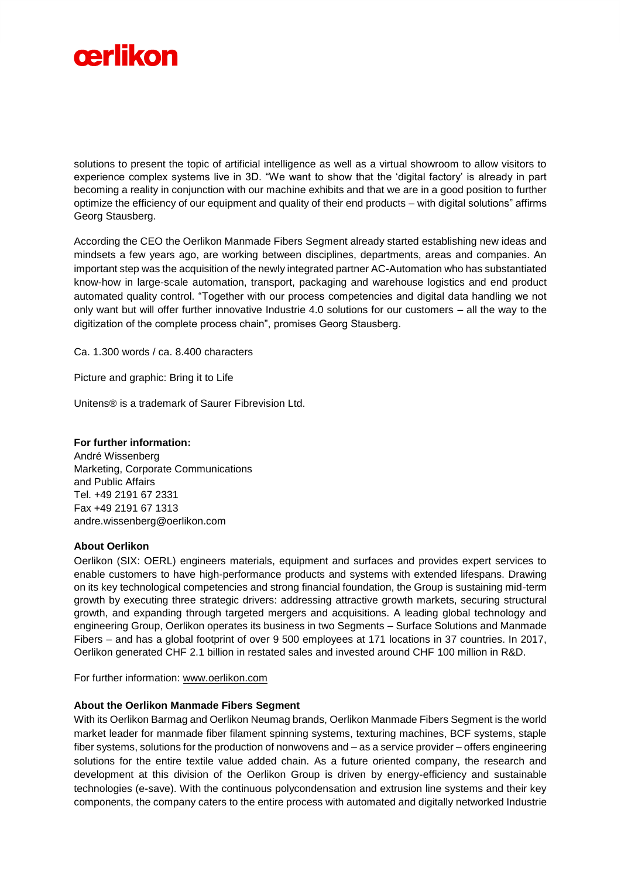

solutions to present the topic of artificial intelligence as well as a virtual showroom to allow visitors to experience complex systems live in 3D. "We want to show that the 'digital factory' is already in part becoming a reality in conjunction with our machine exhibits and that we are in a good position to further optimize the efficiency of our equipment and quality of their end products – with digital solutions" affirms Georg Stausberg.

According the CEO the Oerlikon Manmade Fibers Segment already started establishing new ideas and mindsets a few years ago, are working between disciplines, departments, areas and companies. An important step was the acquisition of the newly integrated partner AC-Automation who has substantiated know-how in large-scale automation, transport, packaging and warehouse logistics and end product automated quality control. "Together with our process competencies and digital data handling we not only want but will offer further innovative Industrie 4.0 solutions for our customers – all the way to the digitization of the complete process chain", promises Georg Stausberg.

Ca. 1.300 words / ca. 8.400 characters

Picture and graphic: Bring it to Life

Unitens® is a trademark of Saurer Fibrevision Ltd.

#### **For further information:**

André Wissenberg Marketing, Corporate Communications and Public Affairs Tel. +49 2191 67 2331 Fax +49 2191 67 1313 andre.wissenberg@oerlikon.com

## **About Oerlikon**

Oerlikon (SIX: OERL) engineers materials, equipment and surfaces and provides expert services to enable customers to have high-performance products and systems with extended lifespans. Drawing on its key technological competencies and strong financial foundation, the Group is sustaining mid-term growth by executing three strategic drivers: addressing attractive growth markets, securing structural growth, and expanding through targeted mergers and acquisitions. A leading global technology and engineering Group, Oerlikon operates its business in two Segments – Surface Solutions and Manmade Fibers – and has a global footprint of over 9 500 employees at 171 locations in 37 countries. In 2017, Oerlikon generated CHF 2.1 billion in restated sales and invested around CHF 100 million in R&D.

For further information: [www.oerlikon.com](http://www.oerlikon.com/)

#### **About the Oerlikon Manmade Fibers Segment**

With its Oerlikon Barmag and Oerlikon Neumag brands, Oerlikon Manmade Fibers Segment is the world market leader for manmade fiber filament spinning systems, texturing machines, BCF systems, staple fiber systems, solutions for the production of nonwovens and – as a service provider – offers engineering solutions for the entire textile value added chain. As a future oriented company, the research and development at this division of the Oerlikon Group is driven by energy-efficiency and sustainable technologies (e-save). With the continuous polycondensation and extrusion line systems and their key components, the company caters to the entire process with automated and digitally networked Industrie